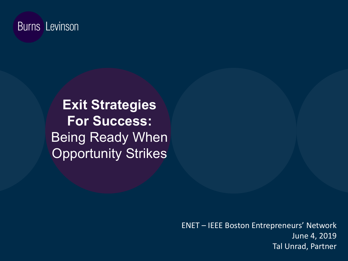#### **Burns Levinson**

**Exit Strategies For Success:**  Being Ready When **Opportunity Strikes** 

> ENET – IEEE Boston Entrepreneurs' Network June 4, 2019 Tal Unrad, Partner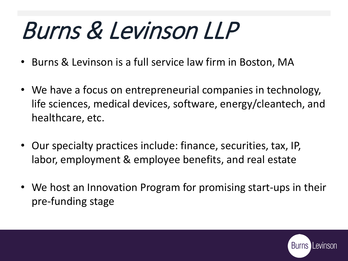# Burns & Levinson LLP

- Burns & Levinson is a full service law firm in Boston, MA
- We have a focus on entrepreneurial companies in technology, life sciences, medical devices, software, energy/cleantech, and healthcare, etc.
- Our specialty practices include: finance, securities, tax, IP, labor, employment & employee benefits, and real estate
- We host an Innovation Program for promising start-ups in their pre-funding stage

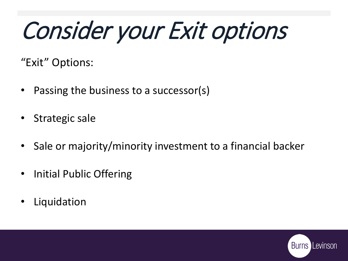# Consider your Exit options

"Exit" Options:

- Passing the business to a successor(s)
- Strategic sale
- Sale or majority/minority investment to a financial backer
- Initial Public Offering
- **Liquidation**

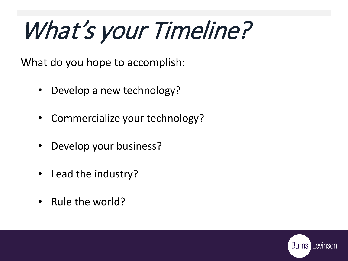# What's your Timeline?

What do you hope to accomplish:

- Develop a new technology?
- Commercialize your technology?
- Develop your business?
- Lead the industry?
- Rule the world?

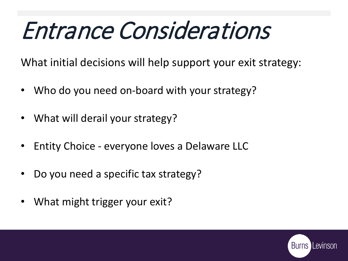## Entrance Considerations

What initial decisions will help support your exit strategy:

- Who do you need on-board with your strategy?
- What will derail your strategy?
- Entity Choice everyone loves a Delaware LLC
- Do you need a specific tax strategy?
- What might trigger your exit?

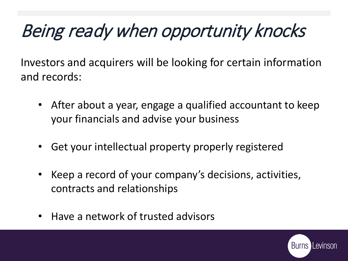### Being ready when opportunity knocks

Investors and acquirers will be looking for certain information and records:

- After about a year, engage a qualified accountant to keep your financials and advise your business
- Get your intellectual property properly registered
- Keep a record of your company's decisions, activities, contracts and relationships
- Have a network of trusted advisors

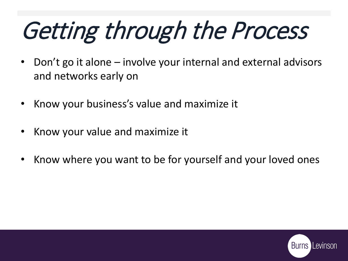# Getting through the Process

- Don't go it alone involve your internal and external advisors and networks early on
- Know your business's value and maximize it
- Know your value and maximize it
- Know where you want to be for yourself and your loved ones